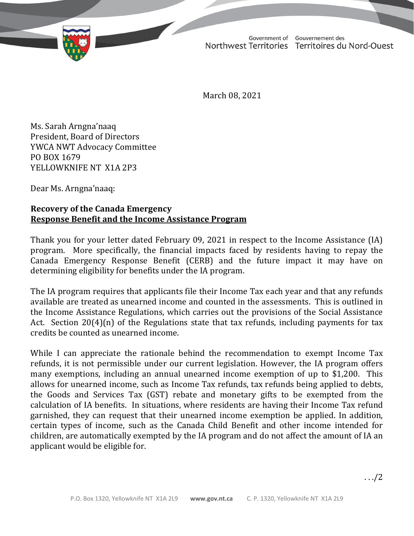TD 362-19(2) TABLED ON MARCH 29, 2021

Government of Gouvernement des Northwest Territories Territoires du Nord-Ouest

March 08, 2021

Ms. Sarah Arngna'naaq President, Board of Directors YWCA NWT Advocacy Committee PO BOX 1679 YELLOWKNIFE NT X1A 2P3

Dear Ms. Arngna'naaq:

## **Recovery of the Canada Emergency Response Benefit and the Income Assistance Program**

Thank you for your letter dated February 09, 2021 in respect to the Income Assistance (IA) program. More specifically, the financial impacts faced by residents having to repay the Canada Emergency Response Benefit (CERB) and the future impact it may have on determining eligibility for benefits under the IA program.

The IA program requires that applicants file their Income Tax each year and that any refunds available are treated as unearned income and counted in the assessments. This is outlined in the Income Assistance Regulations, which carries out the provisions of the Social Assistance Act. Section 20(4)(n) of the Regulations state that tax refunds, including payments for tax credits be counted as unearned income.

While I can appreciate the rationale behind the recommendation to exempt Income Tax refunds, it is not permissible under our current legislation. However, the IA program offers many exemptions, including an annual unearned income exemption of up to \$1,200. This allows for unearned income, such as Income Tax refunds, tax refunds being applied to debts, the Goods and Services Tax (GST) rebate and monetary gifts to be exempted from the calculation of IA benefits. In situations, where residents are having their Income Tax refund garnished, they can request that their unearned income exemption be applied. In addition, certain types of income, such as the Canada Child Benefit and other income intended for children, are automatically exempted by the IA program and do not affect the amount of IA an applicant would be eligible for.

. . ./2